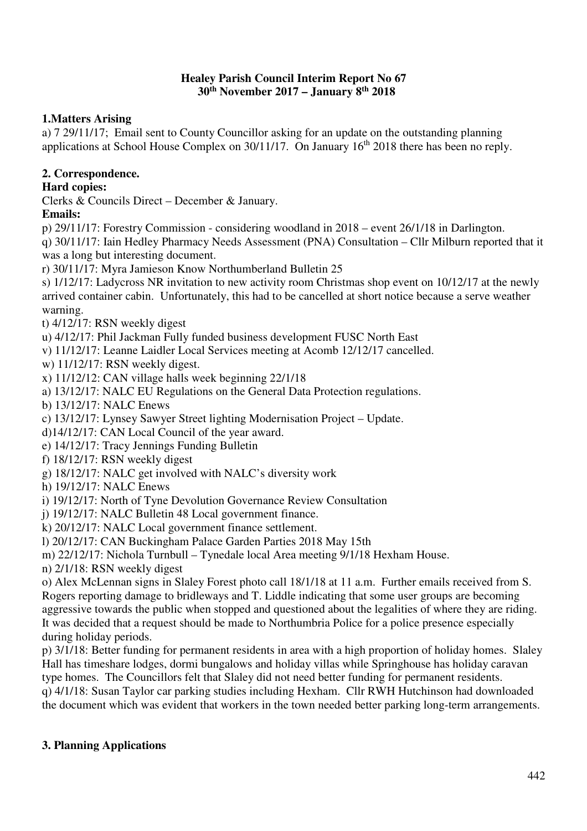#### **Healey Parish Council Interim Report No 67 30th November 2017 – January 8th 2018**

# **1.Matters Arising**

a) 7 29/11/17; Email sent to County Councillor asking for an update on the outstanding planning applications at School House Complex on 30/11/17. On January 16<sup>th</sup> 2018 there has been no reply.

# **2. Correspondence.**

## **Hard copies:**

Clerks & Councils Direct – December & January.

# **Emails:**

p) 29/11/17: Forestry Commission - considering woodland in 2018 – event 26/1/18 in Darlington.

q) 30/11/17: Iain Hedley Pharmacy Needs Assessment (PNA) Consultation – Cllr Milburn reported that it was a long but interesting document.

r) 30/11/17: Myra Jamieson Know Northumberland Bulletin 25

s) 1/12/17: Ladycross NR invitation to new activity room Christmas shop event on 10/12/17 at the newly arrived container cabin. Unfortunately, this had to be cancelled at short notice because a serve weather warning.

t) 4/12/17: RSN weekly digest

u) 4/12/17: Phil Jackman Fully funded business development FUSC North East

v) 11/12/17: Leanne Laidler Local Services meeting at Acomb 12/12/17 cancelled.

w) 11/12/17: RSN weekly digest.

x) 11/12/12: CAN village halls week beginning 22/1/18

a) 13/12/17: NALC EU Regulations on the General Data Protection regulations.

b) 13/12/17: NALC Enews

c) 13/12/17: Lynsey Sawyer Street lighting Modernisation Project – Update.

d)14/12/17: CAN Local Council of the year award.

e) 14/12/17: Tracy Jennings Funding Bulletin

f) 18/12/17: RSN weekly digest

g) 18/12/17: NALC get involved with NALC's diversity work

h) 19/12/17: NALC Enews

i) 19/12/17: North of Tyne Devolution Governance Review Consultation

j) 19/12/17: NALC Bulletin 48 Local government finance.

k) 20/12/17: NALC Local government finance settlement.

l) 20/12/17: CAN Buckingham Palace Garden Parties 2018 May 15th

m) 22/12/17: Nichola Turnbull – Tynedale local Area meeting 9/1/18 Hexham House.

n) 2/1/18: RSN weekly digest

o) Alex McLennan signs in Slaley Forest photo call 18/1/18 at 11 a.m. Further emails received from S. Rogers reporting damage to bridleways and T. Liddle indicating that some user groups are becoming aggressive towards the public when stopped and questioned about the legalities of where they are riding. It was decided that a request should be made to Northumbria Police for a police presence especially during holiday periods.

p) 3/1/18: Better funding for permanent residents in area with a high proportion of holiday homes. Slaley Hall has timeshare lodges, dormi bungalows and holiday villas while Springhouse has holiday caravan type homes. The Councillors felt that Slaley did not need better funding for permanent residents.

q) 4/1/18: Susan Taylor car parking studies including Hexham. Cllr RWH Hutchinson had downloaded the document which was evident that workers in the town needed better parking long-term arrangements.

# **3. Planning Applications**